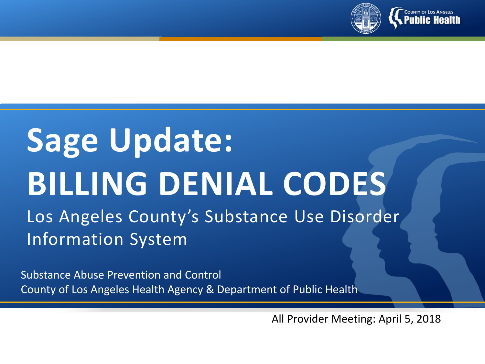

# **Sage Update: BILLING DENIAL CODES**

Los Angeles County's Substance Use Disorder Information System

Substance Abuse Prevention and Control County of Los Angeles Health Agency & Department of Public Health

All Provider Meeting: April 5, 2018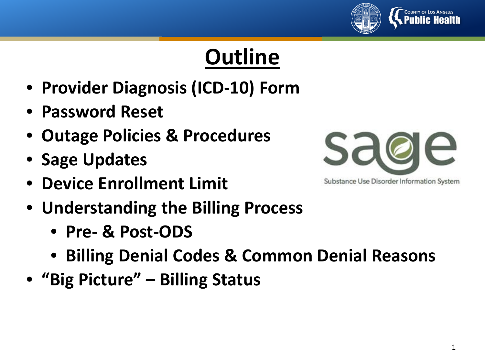

## **Outline**

- **Provider Diagnosis (ICD-10) Form**
- **Password Reset**
- **Outage Policies & Procedures**
- **Sage Updates**
- **Device Enrollment Limit**
- **Understanding the Billing Process**
	- **Pre- & Post-ODS**
	- **Billing Denial Codes & Common Denial Reasons**
- **"Big Picture" – Billing Status**



Substance Use Disorder Information System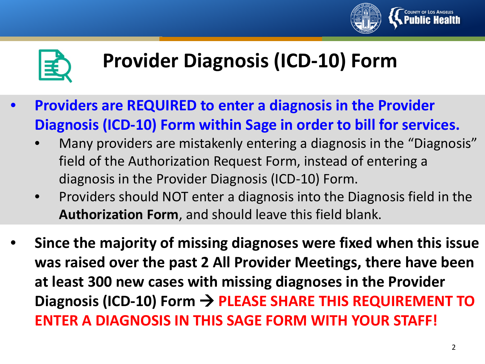



### **Provider Diagnosis (ICD-10) Form**

- **Providers are REQUIRED to enter a diagnosis in the Provider Diagnosis (ICD-10) Form within Sage in order to bill for services.**
	- Many providers are mistakenly entering a diagnosis in the "Diagnosis" field of the Authorization Request Form, instead of entering a diagnosis in the Provider Diagnosis (ICD-10) Form.
	- Providers should NOT enter a diagnosis into the Diagnosis field in the **Authorization Form**, and should leave this field blank.
- **Since the majority of missing diagnoses were fixed when this issue was raised over the past 2 All Provider Meetings, there have been at least 300 new cases with missing diagnoses in the Provider**  Diagnosis (ICD-10) Form → PLEASE SHARE THIS REQUIREMENT TO **ENTER A DIAGNOSIS IN THIS SAGE FORM WITH YOUR STAFF!**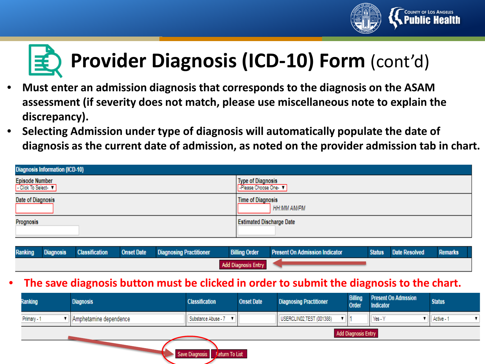

## **Provider Diagnosis (ICD-10) Form** (cont'd)

- **Must enter an admission diagnosis that corresponds to the diagnosis on the ASAM assessment (if severity does not match, please use miscellaneous note to explain the discrepancy).**
- **Selecting Admission under type of diagnosis will automatically populate the date of diagnosis as the current date of admission, as noted on the provider admission tab in chart.**

| <b>Diagnosis Information (ICD-10)</b>      |                                                |  |  |  |
|--------------------------------------------|------------------------------------------------|--|--|--|
| <b>Episode Number</b><br>Click To Select V | Type of Diagnosis<br>-Please Choose One-       |  |  |  |
| Date of Diagnosis                          | <b>Time of Diagnosis</b><br><b>HH:MM AM/PM</b> |  |  |  |
| Prognosis                                  | <b>Estimated Discharge Date</b>                |  |  |  |

| Ranking                    | <b>Diagnosis</b> | <b>Classification</b> | <b>Onset Date</b> | <b>Diagnosing Practitioner</b> | <b>Billing Order</b> | <b>Present On Admission Indicator</b> | <b>Status</b> | Date Resolved | Remarks |
|----------------------------|------------------|-----------------------|-------------------|--------------------------------|----------------------|---------------------------------------|---------------|---------------|---------|
| <b>Add Diagnosis Entry</b> |                  |                       |                   |                                |                      |                                       |               |               |         |

#### • **The save diagnosis button must be clicked in order to submit the diagnosis to the chart.**

| Ranking     | <b>Diagnosis</b>       | <b>Classification</b>                          | <b>Onset Date</b> | <b>Diagnosing Practitioner</b> | <b>Billing</b><br><b>Order</b> | <b>Present On Admssion</b><br>Indicator | <b>Status</b> |
|-------------|------------------------|------------------------------------------------|-------------------|--------------------------------|--------------------------------|-----------------------------------------|---------------|
| Primary - 1 | Amphetamine dependence | Substance Abuse - 7 V                          |                   | USERCLIN02,TEST (001388)       |                                | Yes - Y                                 | Active - 1    |
|             |                        |                                                |                   |                                | <b>Add Diagnosis Entry</b>     |                                         |               |
|             |                        | <b>Jeturn To List</b><br><b>Save Diagnosis</b> |                   |                                |                                |                                         |               |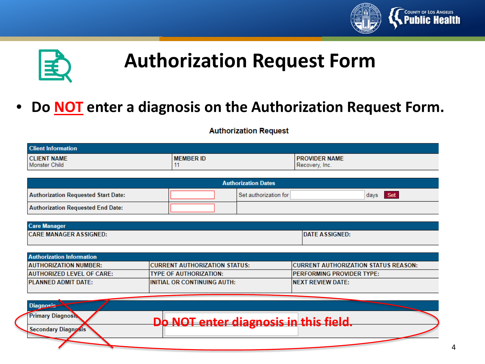



### **Authorization Request Form**

#### • **Do NOT enter a diagnosis on the Authorization Request Form.**

#### **Authorization Request**

| <b>Client Information</b>           |                  |                                        |  |  |
|-------------------------------------|------------------|----------------------------------------|--|--|
| <b>CLIENT NAME</b><br>Monster Child | <b>MEMBER ID</b> | <b>PROVIDER NAME</b><br>Recovery, Inc. |  |  |

| <b>Authorization Dates</b>                 |  |                       |             |  |
|--------------------------------------------|--|-----------------------|-------------|--|
| <b>Authorization Requested Start Date:</b> |  | Set authorization for | Set<br>days |  |
| Authorization Requested End Date:          |  |                       |             |  |

| <b>Care Manager</b>           |                       |
|-------------------------------|-----------------------|
| <b>CARE MANAGER ASSIGNED:</b> | <b>DATE ASSIGNED:</b> |

| <b>Authorization Information</b> |                                       |                                              |  |  |  |
|----------------------------------|---------------------------------------|----------------------------------------------|--|--|--|
| <b>AUTHORIZATION NUMBER:</b>     | <b>ICURRENT AUTHORIZATION STATUS:</b> | <b>ICURRENT AUTHORIZATION STATUS REASON:</b> |  |  |  |
| AUTHORIZED LEVEL OF CARE:        | ITYPE OF AUTHORIZATION:               | <b>IPERFORMING PROVIDER TYPE:</b>            |  |  |  |
| <b>PLANNED ADMIT DATE:</b>       | <b>IINITIAL OR CONTINUING AUTH:</b>   | INEXT REVIEW DATE:                           |  |  |  |
|                                  |                                       |                                              |  |  |  |

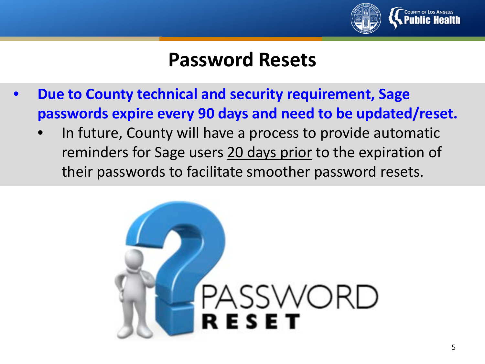

#### **Password Resets**

- **Due to County technical and security requirement, Sage passwords expire every 90 days and need to be updated/reset.**
	- In future, County will have a process to provide automatic reminders for Sage users 20 days prior to the expiration of their passwords to facilitate smoother password resets.

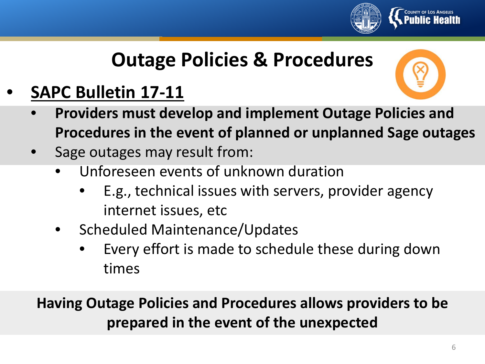

### **Outage Policies & Procedures**

#### • **SAPC Bulletin 17-11**



- **Providers must develop and implement Outage Policies and Procedures in the event of planned or unplanned Sage outages**
- Sage outages may result from:
	- Unforeseen events of unknown duration
		- E.g., technical issues with servers, provider agency internet issues, etc
	- Scheduled Maintenance/Updates
		- Every effort is made to schedule these during down times

**Having Outage Policies and Procedures allows providers to be prepared in the event of the unexpected**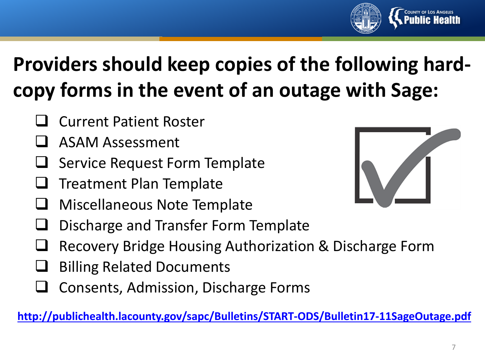

## **Providers should keep copies of the following hardcopy forms in the event of an outage with Sage:**

- Current Patient Roster
- ASAM Assessment
- Service Request Form Template
- Treatment Plan Template
- Miscellaneous Note Template
- Discharge and Transfer Form Template
- Recovery Bridge Housing Authorization & Discharge Form
- Billing Related Documents
- Consents, Admission, Discharge Forms

**<http://publichealth.lacounty.gov/sapc/Bulletins/START-ODS/Bulletin17-11SageOutage.pdf>**

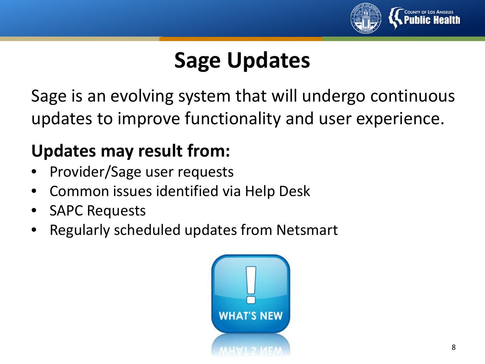

## **Sage Updates**

Sage is an evolving system that will undergo continuous updates to improve functionality and user experience.

#### **Updates may result from:**

- Provider/Sage user requests
- Common issues identified via Help Desk
- **SAPC Requests**
- Regularly scheduled updates from Netsmart

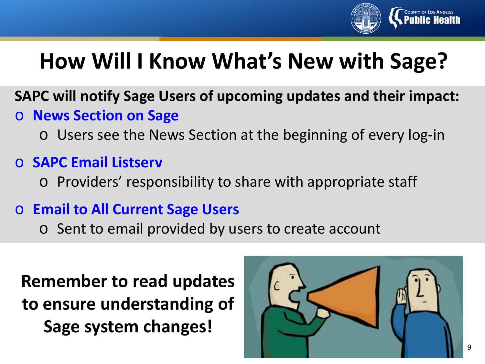

## **How Will I Know What's New with Sage?**

- **SAPC will notify Sage Users of upcoming updates and their impact:** o **News Section on Sage**
	- o Users see the News Section at the beginning of every log-in
- o **SAPC Email Listserv**
	- o Providers' responsibility to share with appropriate staff
- o **Email to All Current Sage Users**
	- o Sent to email provided by users to create account

**Remember to read updates to ensure understanding of Sage system changes!** 

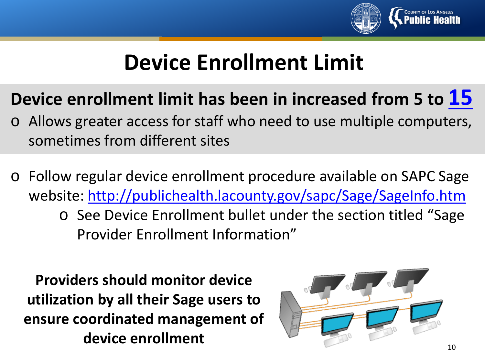

### **Device Enrollment Limit**

### **Device enrollment limit has been in increased from 5 to 15**

- o Allows greater access for staff who need to use multiple computers, sometimes from different sites
- o Follow regular device enrollment procedure available on SAPC Sage website:<http://publichealth.lacounty.gov/sapc/Sage/SageInfo.htm>
	- o See Device Enrollment bullet under the section titled "Sage Provider Enrollment Information"

**Providers should monitor device utilization by all their Sage users to ensure coordinated management of device enrollment**

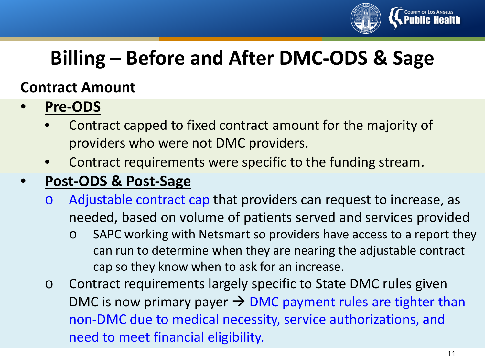

### **Billing – Before and After DMC-ODS & Sage**

#### **Contract Amount**

- **Pre-ODS**
	- Contract capped to fixed contract amount for the majority of providers who were not DMC providers.
	- Contract requirements were specific to the funding stream.

#### • **Post-ODS & Post-Sage**

- o Adjustable contract cap that providers can request to increase, as needed, based on volume of patients served and services provided
	- o SAPC working with Netsmart so providers have access to a report they can run to determine when they are nearing the adjustable contract cap so they know when to ask for an increase.
- o Contract requirements largely specific to State DMC rules given DMC is now primary payer  $\rightarrow$  DMC payment rules are tighter than non-DMC due to medical necessity, service authorizations, and need to meet financial eligibility.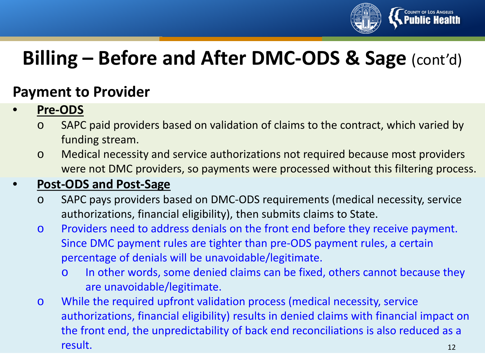

### **Billing – Before and After DMC-ODS & Sage** (cont'd)

#### **Payment to Provider**

#### • **Pre-ODS**

- o SAPC paid providers based on validation of claims to the contract, which varied by funding stream.
- o Medical necessity and service authorizations not required because most providers were not DMC providers, so payments were processed without this filtering process.

#### • **Post-ODS and Post-Sage**

- o SAPC pays providers based on DMC-ODS requirements (medical necessity, service authorizations, financial eligibility), then submits claims to State.
- o Providers need to address denials on the front end before they receive payment. Since DMC payment rules are tighter than pre-ODS payment rules, a certain percentage of denials will be unavoidable/legitimate.
	- o In other words, some denied claims can be fixed, others cannot because they are unavoidable/legitimate.
- 12 o While the required upfront validation process (medical necessity, service authorizations, financial eligibility) results in denied claims with financial impact on the front end, the unpredictability of back end reconciliations is also reduced as a result.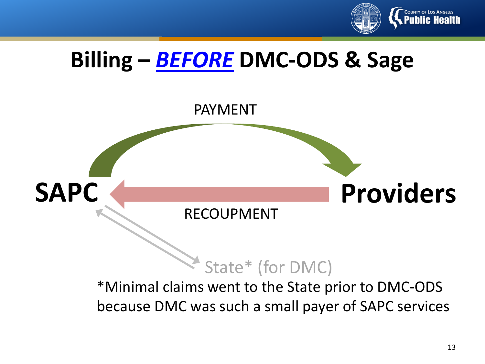

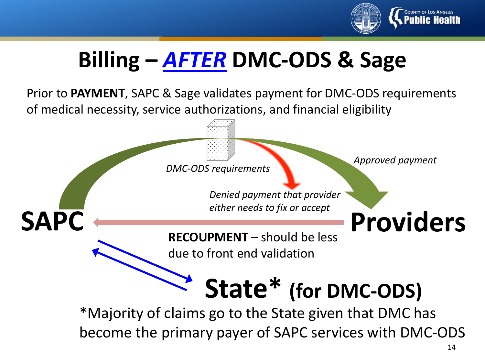

## **Billing –** *AFTER* **DMC-ODS & Sage**

Prior to **PAYMENT**, SAPC & Sage validates payment for DMC-ODS requirements of medical necessity, service authorizations, and financial eligibility

*DMC-ODS requirements*

*Approved payment*

**SAPC Providers** *Denied payment that provider either needs to fix or accept*

**RECOUPMENT** – should be less due to front end validation

**State\* (for DMC-ODS)**

\*Majority of claims go to the State given that DMC has become the primary payer of SAPC services with DMC-ODS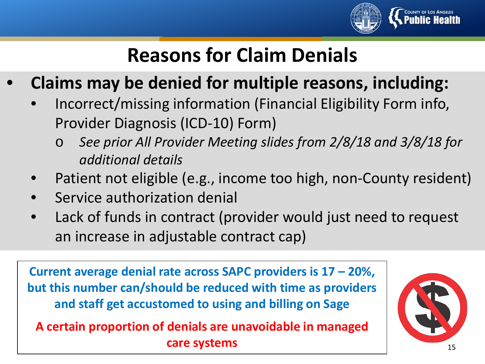

### **Reasons for Claim Denials**

- **Claims may be denied for multiple reasons, including:** 
	- Incorrect/missing information (Financial Eligibility Form info, Provider Diagnosis (ICD-10) Form)
		- See prior All Provider Meeting slides from 2/8/18 and 3/8/18 for *additional details*
	- Patient not eligible (e.g., income too high, non-County resident)
	- Service authorization denial
	- Lack of funds in contract (provider would just need to request an increase in adjustable contract cap)

**Current average denial rate across SAPC providers is 17 – 20%, but this number can/should be reduced with time as providers and staff get accustomed to using and billing on Sage**

**A certain proportion of denials are unavoidable in managed care systems**

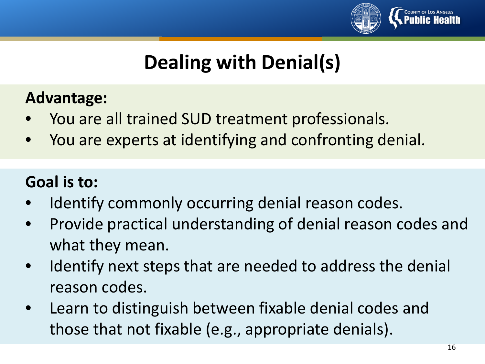

### **Dealing with Denial(s)**

#### **Advantage:**

- You are all trained SUD treatment professionals.
- You are experts at identifying and confronting denial.

#### **Goal is to:**

- Identify commonly occurring denial reason codes.
- Provide practical understanding of denial reason codes and what they mean.
- Identify next steps that are needed to address the denial reason codes.
- Learn to distinguish between fixable denial codes and those that not fixable (e.g., appropriate denials).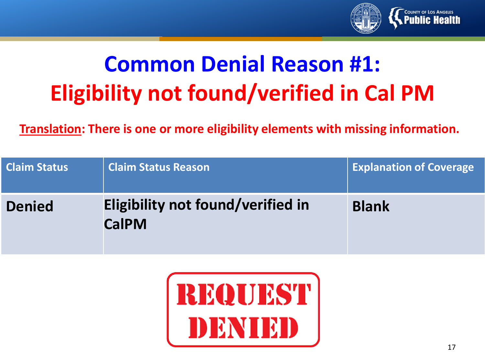

## **Common Denial Reason #1: Eligibility not found/verified in Cal PM**

**Translation: There is one or more eligibility elements with missing information.**

| <b>Claim Status</b>                                                | <b>Claim Status Reason</b> | <b>Explanation of Coverage</b> |
|--------------------------------------------------------------------|----------------------------|--------------------------------|
| Eligibility not found/verified in<br><b>Denied</b><br><b>CalPM</b> |                            | <b>Blank</b>                   |

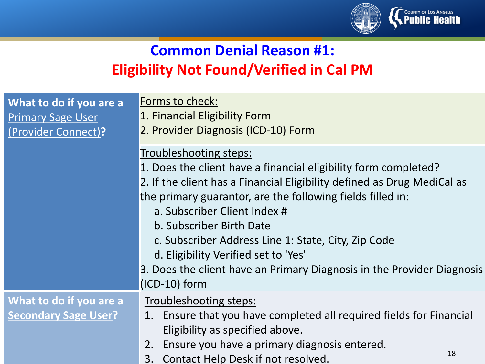

#### **Common Denial Reason #1: Eligibility Not Found/Verified in Cal PM**

| What to do if you are a<br><b>Primary Sage User</b><br>(Provider Connect)? | Forms to check:<br>1. Financial Eligibility Form<br>2. Provider Diagnosis (ICD-10) Form                                                                                                                                                                                                                                                                                                                                                                                                    |  |
|----------------------------------------------------------------------------|--------------------------------------------------------------------------------------------------------------------------------------------------------------------------------------------------------------------------------------------------------------------------------------------------------------------------------------------------------------------------------------------------------------------------------------------------------------------------------------------|--|
|                                                                            | Troubleshooting steps:<br>1. Does the client have a financial eligibility form completed?<br>2. If the client has a Financial Eligibility defined as Drug MediCal as<br>the primary guarantor, are the following fields filled in:<br>a. Subscriber Client Index #<br>b. Subscriber Birth Date<br>c. Subscriber Address Line 1: State, City, Zip Code<br>d. Eligibility Verified set to 'Yes'<br>3. Does the client have an Primary Diagnosis in the Provider Diagnosis<br>$(ICD-10)$ form |  |
| What to do if you are a<br><b>Secondary Sage User?</b>                     | Troubleshooting steps:<br>1. Ensure that you have completed all required fields for Financial<br>Eligibility as specified above.<br>Ensure you have a primary diagnosis entered.<br>2.<br>18<br>Contact Help Desk if not resolved.<br>3.                                                                                                                                                                                                                                                   |  |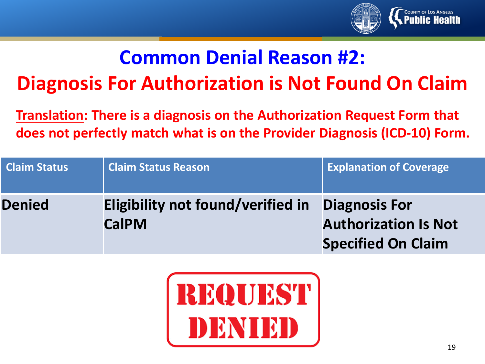

### **Common Denial Reason #2: Diagnosis For Authorization is Not Found On Claim**

**Translation: There is a diagnosis on the Authorization Request Form that does not perfectly match what is on the Provider Diagnosis (ICD-10) Form.**

| <b>Claim Status</b> | <b>Claim Status Reason</b>                                      | <b>Explanation of Coverage</b>                           |
|---------------------|-----------------------------------------------------------------|----------------------------------------------------------|
| <b>Denied</b>       | Eligibility not found/verified in Diagnosis For<br><b>CalPM</b> | <b>Authorization Is Not</b><br><b>Specified On Claim</b> |

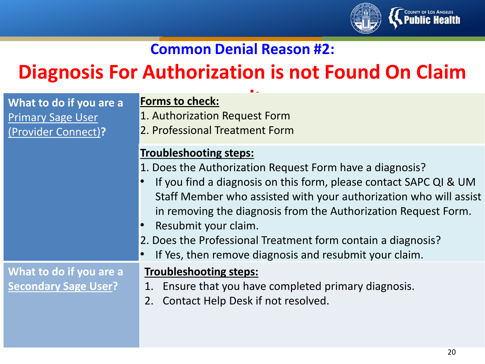

#### **Common Denial Reason #2:**

### **Diagnosis For Authorization is not Found On Claim**

|                                                                            | $\bullet$ $\sim$                                                                                                                                                                                                                                                                                                                                                                                                                                        |
|----------------------------------------------------------------------------|---------------------------------------------------------------------------------------------------------------------------------------------------------------------------------------------------------------------------------------------------------------------------------------------------------------------------------------------------------------------------------------------------------------------------------------------------------|
| What to do if you are a<br><b>Primary Sage User</b><br>(Provider Connect)? | <b>Forms to check:</b><br>1. Authorization Request Form<br>2. Professional Treatment Form                                                                                                                                                                                                                                                                                                                                                               |
|                                                                            | <b>Troubleshooting steps:</b><br>1. Does the Authorization Request Form have a diagnosis?<br>If you find a diagnosis on this form, please contact SAPC QI & UM<br>Staff Member who assisted with your authorization who will assist<br>in removing the diagnosis from the Authorization Request Form.<br>Resubmit your claim.<br>2. Does the Professional Treatment form contain a diagnosis?<br>If Yes, then remove diagnosis and resubmit your claim. |
| What to do if you are a<br><b>Secondary Sage User?</b>                     | <b>Troubleshooting steps:</b><br>1. Ensure that you have completed primary diagnosis.<br>Contact Help Desk if not resolved.<br>2.                                                                                                                                                                                                                                                                                                                       |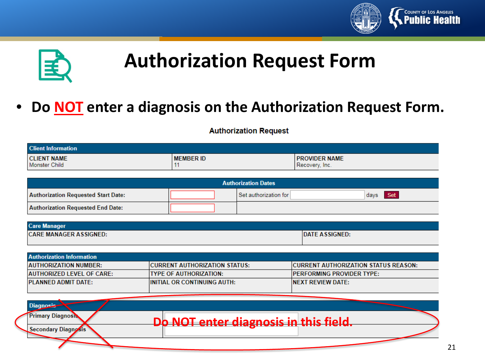



### **Authorization Request Form**

#### • **Do NOT enter a diagnosis on the Authorization Request Form.**

#### **Authorization Request**

| <b>Client Information</b>           |                  |                                        |  |  |
|-------------------------------------|------------------|----------------------------------------|--|--|
| <b>CLIENT NAME</b><br>Monster Child | <b>MEMBER ID</b> | <b>PROVIDER NAME</b><br>Recovery, Inc. |  |  |

| <b>Authorization Dates</b>                 |  |                       |             |
|--------------------------------------------|--|-----------------------|-------------|
| <b>Authorization Requested Start Date:</b> |  | Set authorization for | Set<br>days |
| Authorization Requested End Date:          |  |                       |             |

| <b>Care Manager</b>           |                       |
|-------------------------------|-----------------------|
| <b>CARE MANAGER ASSIGNED:</b> | <b>DATE ASSIGNED:</b> |

| <b>Authorization Information</b> |                                       |                                              |
|----------------------------------|---------------------------------------|----------------------------------------------|
| <b>AUTHORIZATION NUMBER:</b>     | <b>ICURRENT AUTHORIZATION STATUS:</b> | <b>ICURRENT AUTHORIZATION STATUS REASON:</b> |
| AUTHORIZED LEVEL OF CARE:        | ITYPE OF AUTHORIZATION:               | <b>IPERFORMING PROVIDER TYPE:</b>            |
| <b>PLANNED ADMIT DATE:</b>       | <b>IINITIAL OR CONTINUING AUTH:</b>   | INEXT REVIEW DATE:                           |
|                                  |                                       |                                              |

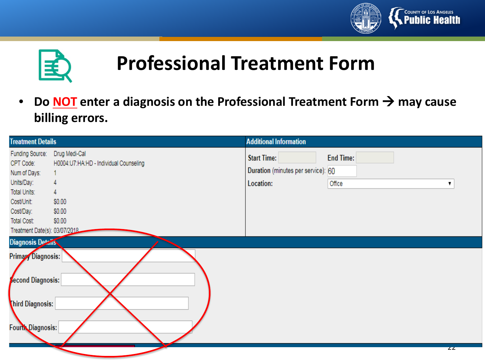



### **Professional Treatment Form**

• Do **NOT** enter a diagnosis on the Professional Treatment Form  $\rightarrow$  may cause **billing errors.** 

| <b>Treatment Details</b>                                                                                                                                                                                                                                                     |                                                                                                 | <b>Additional Information</b>                                         |                                 |
|------------------------------------------------------------------------------------------------------------------------------------------------------------------------------------------------------------------------------------------------------------------------------|-------------------------------------------------------------------------------------------------|-----------------------------------------------------------------------|---------------------------------|
| Funding Source:<br>CPT Code:<br>Num of Days:<br>Units/Day:<br>Total Units:<br>Cost/Unit:<br>Cost/Day:<br>Total Cost:<br>Treatment Date(s): 03/07/2018<br><b>Diagnosis Details</b><br>Primary Diagnosis:<br><b>Second Diagnosis:</b><br>Third Diagnosis:<br>Fourth Diagnosis: | Drug Medi-Cal<br>H0004:U7:HA:HD - Individual Counseling<br>4<br>4<br>\$0.00<br>\$0.00<br>\$0.00 | <b>Start Time:</b><br>Duration (minutes per service): 60<br>Location: | <b>End Time:</b><br>Office<br>▼ |
|                                                                                                                                                                                                                                                                              |                                                                                                 |                                                                       | $\overline{z}$                  |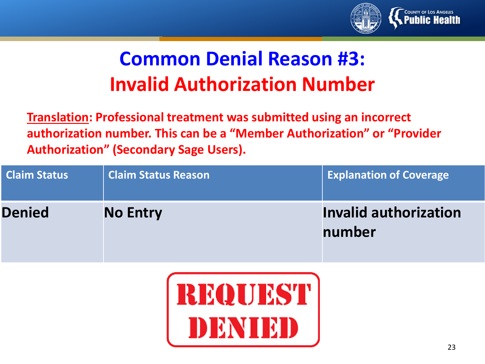

### **Common Denial Reason #3: Invalid Authorization Number**

**Translation: Professional treatment was submitted using an incorrect authorization number. This can be a "Member Authorization" or "Provider Authorization" (Secondary Sage Users).** 

| <b>Claim Status</b> | <b>Claim Status Reason</b> | <b>Explanation of Coverage</b>         |
|---------------------|----------------------------|----------------------------------------|
| <b>Denied</b>       | <b>No Entry</b>            | <b>Invalid authorization</b><br>number |

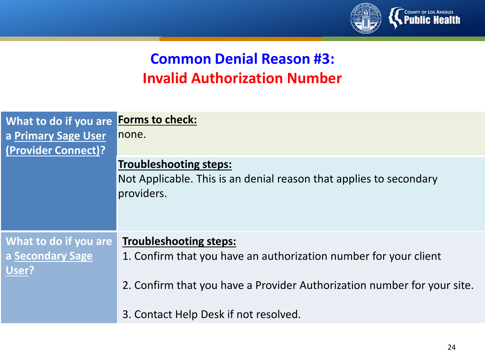

#### **Common Denial Reason #3: Invalid Authorization Number**

| What to do if you are Forms to check:<br>a Primary Sage User<br>(Provider Connect)? | none.                                                                                                                                                                                                                 |
|-------------------------------------------------------------------------------------|-----------------------------------------------------------------------------------------------------------------------------------------------------------------------------------------------------------------------|
|                                                                                     | <b>Troubleshooting steps:</b><br>Not Applicable. This is an denial reason that applies to secondary<br>providers.                                                                                                     |
| What to do if you are<br>a Secondary Sage<br>User?                                  | <b>Troubleshooting steps:</b><br>1. Confirm that you have an authorization number for your client<br>2. Confirm that you have a Provider Authorization number for your site.<br>3. Contact Help Desk if not resolved. |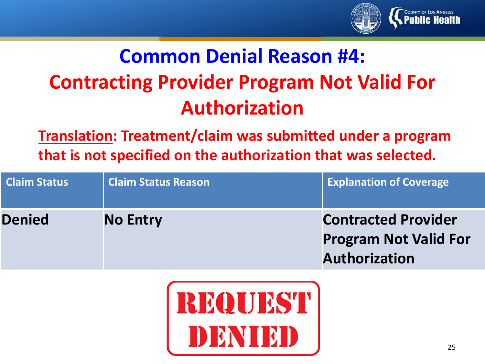

### **Common Denial Reason #4: Contracting Provider Program Not Valid For Authorization**

**Translation: Treatment/claim was submitted under a program that is not specified on the authorization that was selected.**

| <b>Claim Status</b> | <b>Claim Status Reason</b> | <b>Explanation of Coverage</b>                                                     |
|---------------------|----------------------------|------------------------------------------------------------------------------------|
| <b>Denied</b>       | <b>No Entry</b>            | <b>Contracted Provider</b><br><b>Program Not Valid For</b><br><b>Authorization</b> |

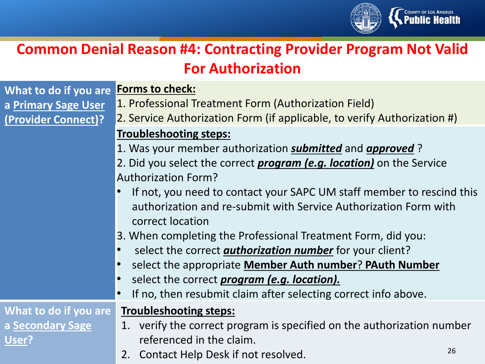

#### **Common Denial Reason #4: Contracting Provider Program Not Valid For Authorization**

| What to do if you are Forms to check: |                                                                             |
|---------------------------------------|-----------------------------------------------------------------------------|
| a Primary Sage User                   | 1. Professional Treatment Form (Authorization Field)                        |
| (Provider Connect)?                   | 2. Service Authorization Form (if applicable, to verify Authorization #)    |
|                                       | <b>Troubleshooting steps:</b>                                               |
|                                       | 1. Was your member authorization <b>submitted</b> and <b>approved</b> ?     |
|                                       | 2. Did you select the correct <i>program (e.g. location)</i> on the Service |
|                                       | <b>Authorization Form?</b>                                                  |
|                                       | If not, you need to contact your SAPC UM staff member to rescind            |

- SAPC UM staff member to rescind this authorization and re-submit with Service Authorization Form with correct location
- 3. When completing the Professional Treatment Form, did you:
- select the correct *authorization number* for your client?
- select the appropriate **Member Auth number**? **PAuth Number**
- select the correct *program (e.g. location).*
- If no, then resubmit claim after selecting correct info above.

#### **What to do if you are a Secondary Sage User?**

#### **Troubleshooting steps:**

- 1. verify the correct program is specified on the authorization number referenced in the claim.
- 2. Contact Help Desk if not resolved.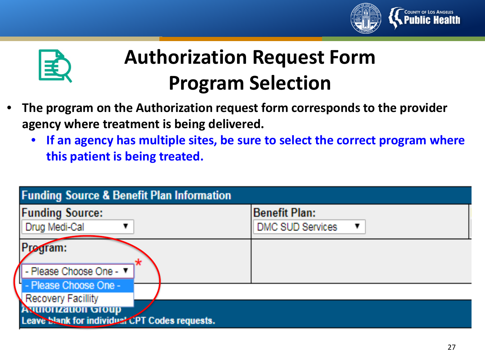



### **Authorization Request Form Program Selection**

- **The program on the Authorization request form corresponds to the provider agency where treatment is being delivered.** 
	- **If an agency has multiple sites, be sure to select the correct program where this patient is being treated.**

| <b>Funding Source &amp; Benefit Plan Information</b>                                                                                |                                                 |
|-------------------------------------------------------------------------------------------------------------------------------------|-------------------------------------------------|
| <b>Funding Source:</b><br>Drug Medi-Cal                                                                                             | <b>Benefit Plan:</b><br><b>DMC SUD Services</b> |
| adram:<br>  - Please Choose One - ▼                                                                                                 |                                                 |
| - Please Choose One -<br><b>Recovery Facillity</b><br><b>ANITIOTIZATION GTOUP</b><br>Leave Slank for individual CPT Codes requests. |                                                 |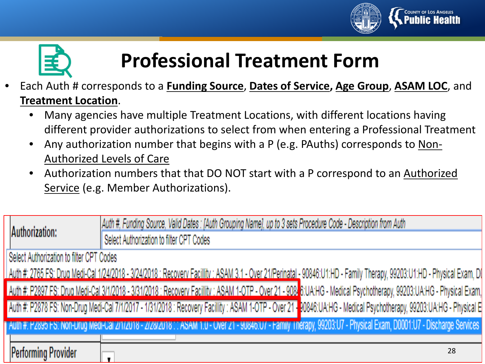



### **Professional Treatment Form**

- Each Auth # corresponds to a **Funding Source**, **Dates of Service, Age Group**, **ASAM LOC**, and **Treatment Location**.
	- Many agencies have multiple Treatment Locations, with different locations having different provider authorizations to select from when entering a Professional Treatment
	- Any authorization number that begins with a P (e.g. PAuths) corresponds to Non-Authorized Levels of Care
	- Authorization numbers that that DO NOT start with a P correspond to an Authorized Service (e.g. Member Authorizations).

| Authorization: |                                          | Auth #, Funding Source, Valid Dates: [Auth Grouping Name], up to 3 sets Procedure Code - Description from Auth                                                           |  |
|----------------|------------------------------------------|--------------------------------------------------------------------------------------------------------------------------------------------------------------------------|--|
|                | Select Authorization to filter CPT Codes |                                                                                                                                                                          |  |
|                | Select Authorization to filter CPT Codes |                                                                                                                                                                          |  |
|                |                                          | Auth #: 2765 FS: Drug Medi-Cal 1/24/2018 - 3/24/2018 : Recovery Facillity : ASAM 3.1 - Over 21/Perinatal - 90846:U1:HD - Family Therapy, 99203:U1:HD - Physical Exam, D( |  |
|                |                                          | Auth #: P2897 FS: Drug Medi-Cal 3/1/2018 - 3/31/2018 : Recovery Facillity : ASAM 1-OTP - Over 21 - 908. 6:UA:HG - Medical Psychotherapy, 99203:UA:HG - Physical Exam,    |  |
|                |                                          | Auth #: P2878 FS: Non-Drug Medi-Cal 7/1/2017 - 1/31/2018 : Recovery Facillity : ASAM 1-OTP - Over 21 - 00846:UA:HG - Medical Psychotherapy, 99203:UA:HG - Physical E     |  |
|                |                                          | Auth #: P2895 FS: Non-Drug Medi-Cal 2/1/2018 - 2/28/2018 : : ASAM 1.0 - Over 21 - 90846:07 - Family Therapy, 99203:07 - Physical Exam, D0001:07 - Discharge Services     |  |
|                |                                          |                                                                                                                                                                          |  |
|                | Performing Provider                      | 28                                                                                                                                                                       |  |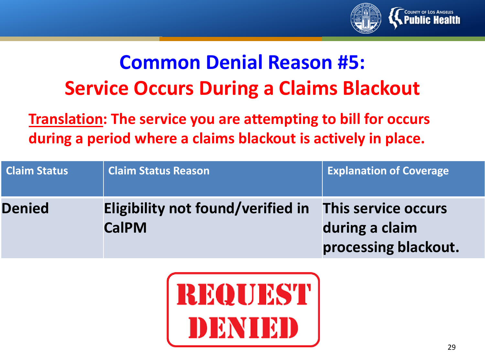

### **Common Denial Reason #5: Service Occurs During a Claims Blackout**

**Translation: The service you are attempting to bill for occurs during a period where a claims blackout is actively in place.** 

| <b>Claim Status</b> | <b>Claim Status Reason</b>                        | <b>Explanation of Coverage</b>                                |
|---------------------|---------------------------------------------------|---------------------------------------------------------------|
| <b>Denied</b>       | Eligibility not found/verified in<br><b>CalPM</b> | This service occurs<br>during a claim<br>processing blackout. |

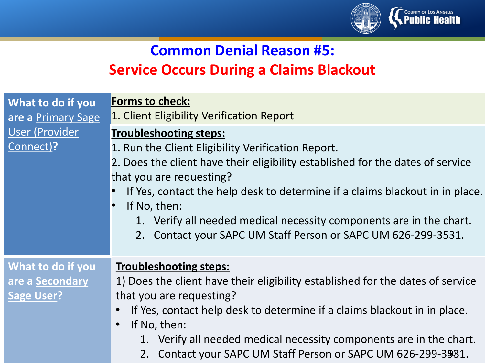

#### **Common Denial Reason #5: Service Occurs During a Claims Blackout**

| What to do if you<br>are a Primary Sage                   | <b>Forms to check:</b><br>1. Client Eligibility Verification Report                                                                                                                                                                                                                                                                                                                                                                       |
|-----------------------------------------------------------|-------------------------------------------------------------------------------------------------------------------------------------------------------------------------------------------------------------------------------------------------------------------------------------------------------------------------------------------------------------------------------------------------------------------------------------------|
| User (Provider<br>Connect)?                               | <b>Troubleshooting steps:</b><br>1. Run the Client Eligibility Verification Report.<br>2. Does the client have their eligibility established for the dates of service<br>that you are requesting?<br>If Yes, contact the help desk to determine if a claims blackout in in place.<br>If No, then:<br>1. Verify all needed medical necessity components are in the chart.<br>2. Contact your SAPC UM Staff Person or SAPC UM 626-299-3531. |
| What to do if you<br>are a Secondary<br><b>Sage User?</b> | <b>Troubleshooting steps:</b><br>1) Does the client have their eligibility established for the dates of service<br>that you are requesting?<br>If Yes, contact help desk to determine if a claims blackout in in place.<br>If No, then:<br>$\bullet$<br>1. Verify all needed medical necessity components are in the chart.<br>2. Contact your SAPC UM Staff Person or SAPC UM 626-299-35931.                                             |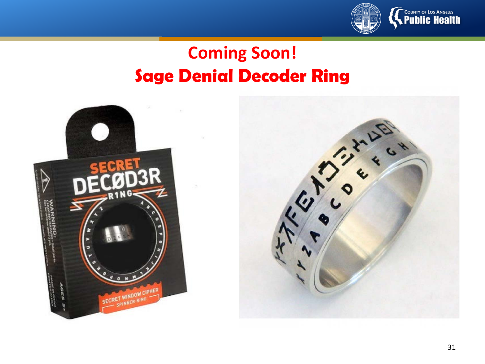

#### **Coming Soon! Sage Denial Decoder Ring**

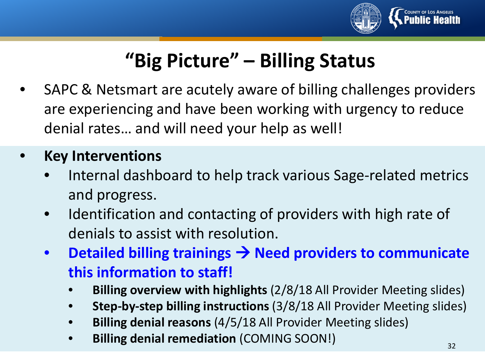

### **"Big Picture" – Billing Status**

• SAPC & Netsmart are acutely aware of billing challenges providers are experiencing and have been working with urgency to reduce denial rates… and will need your help as well!

#### • **Key Interventions**

- Internal dashboard to help track various Sage-related metrics and progress.
- Identification and contacting of providers with high rate of denials to assist with resolution.
- **Detailed billing trainings Need providers to communicate this information to staff!**
	- **Billing overview with highlights** (2/8/18 All Provider Meeting slides)
	- **Step-by-step billing instructions** (3/8/18 All Provider Meeting slides)
	- **Billing denial reasons** (4/5/18 All Provider Meeting slides)
	- **Billing denial remediation** (COMING SOON!)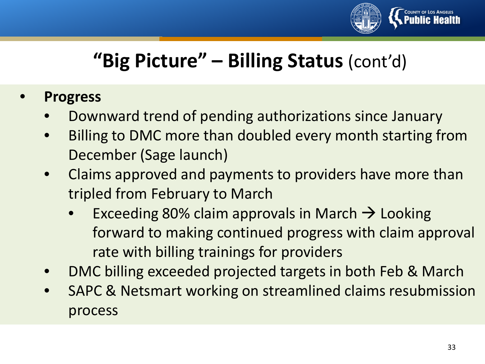

### **"Big Picture" – Billing Status** (cont'd)

- **Progress**
	- Downward trend of pending authorizations since January
	- Billing to DMC more than doubled every month starting from December (Sage launch)
	- Claims approved and payments to providers have more than tripled from February to March
		- Exceeding 80% claim approvals in March  $\rightarrow$  Looking forward to making continued progress with claim approval rate with billing trainings for providers
	- DMC billing exceeded projected targets in both Feb & March
	- SAPC & Netsmart working on streamlined claims resubmission process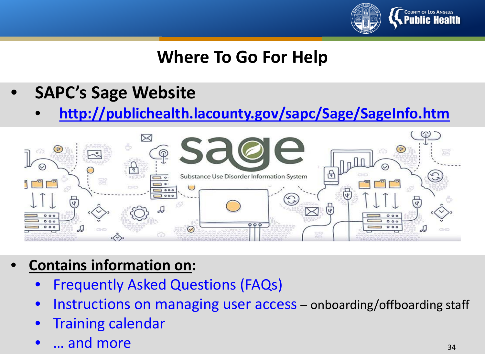

#### **Where To Go For Help**

- **SAPC's Sage Website**
	- **<http://publichealth.lacounty.gov/sapc/Sage/SageInfo.htm>**



- **Contains information on:**
	- Frequently Asked Questions (FAQs)
	- Instructions on managing user access onboarding/offboarding staff
	- Training calendar
	- ... and more